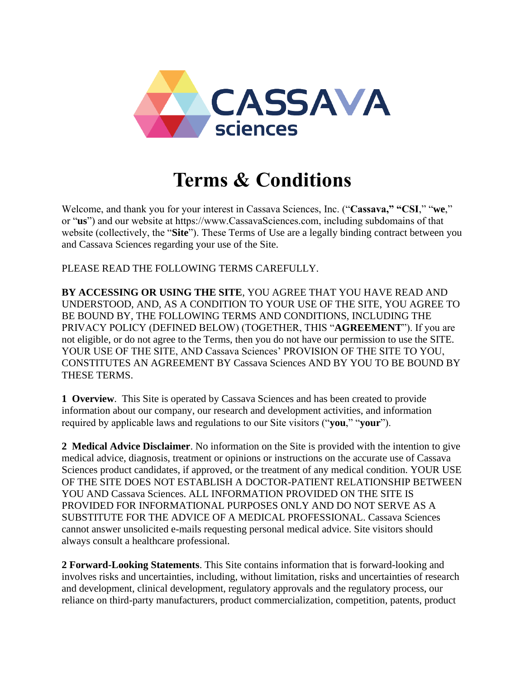

# **Terms & Conditions**

Welcome, and thank you for your interest in Cassava Sciences, Inc. ("**Cassava," "CSI**," "**we**," or "**us**") and our website at https://www.CassavaSciences.com, including subdomains of that website (collectively, the "**Site**"). These Terms of Use are a legally binding contract between you and Cassava Sciences regarding your use of the Site.

PLEASE READ THE FOLLOWING TERMS CAREFULLY.

**BY ACCESSING OR USING THE SITE**, YOU AGREE THAT YOU HAVE READ AND UNDERSTOOD, AND, AS A CONDITION TO YOUR USE OF THE SITE, YOU AGREE TO BE BOUND BY, THE FOLLOWING TERMS AND CONDITIONS, INCLUDING THE PRIVACY POLICY (DEFINED BELOW) (TOGETHER, THIS "**AGREEMENT**"). If you are not eligible, or do not agree to the Terms, then you do not have our permission to use the SITE. YOUR USE OF THE SITE, AND Cassava Sciences' PROVISION OF THE SITE TO YOU, CONSTITUTES AN AGREEMENT BY Cassava Sciences AND BY YOU TO BE BOUND BY THESE TERMS.

**1 Overview**. This Site is operated by Cassava Sciences and has been created to provide information about our company, our research and development activities, and information required by applicable laws and regulations to our Site visitors ("**you**," "**your**").

**2 Medical Advice Disclaimer**. No information on the Site is provided with the intention to give medical advice, diagnosis, treatment or opinions or instructions on the accurate use of Cassava Sciences product candidates, if approved, or the treatment of any medical condition. YOUR USE OF THE SITE DOES NOT ESTABLISH A DOCTOR-PATIENT RELATIONSHIP BETWEEN YOU AND Cassava Sciences. ALL INFORMATION PROVIDED ON THE SITE IS PROVIDED FOR INFORMATIONAL PURPOSES ONLY AND DO NOT SERVE AS A SUBSTITUTE FOR THE ADVICE OF A MEDICAL PROFESSIONAL. Cassava Sciences cannot answer unsolicited e-mails requesting personal medical advice. Site visitors should always consult a healthcare professional.

**2 Forward-Looking Statements**. This Site contains information that is forward-looking and involves risks and uncertainties, including, without limitation, risks and uncertainties of research and development, clinical development, regulatory approvals and the regulatory process, our reliance on third-party manufacturers, product commercialization, competition, patents, product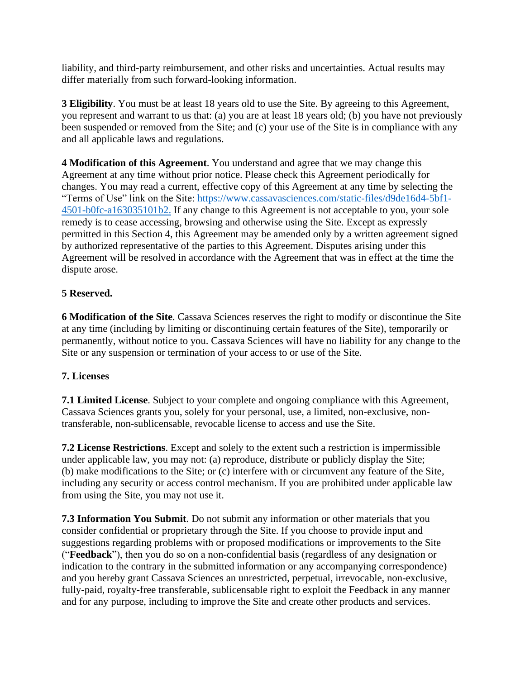liability, and third-party reimbursement, and other risks and uncertainties. Actual results may differ materially from such forward-looking information.

**3 Eligibility**. You must be at least 18 years old to use the Site. By agreeing to this Agreement, you represent and warrant to us that: (a) you are at least 18 years old; (b) you have not previously been suspended or removed from the Site; and (c) your use of the Site is in compliance with any and all applicable laws and regulations.

**4 Modification of this Agreement**. You understand and agree that we may change this Agreement at any time without prior notice. Please check this Agreement periodically for changes. You may read a current, effective copy of this Agreement at any time by selecting the "Terms of Use" link on the Site: [https://www.cassavasciences.com/static-files/d9de16d4-5bf1-](https://www.cassavasciences.com/static-files/d9de16d4-5bf1-4501-b0fc-a163035101b2) [4501-b0fc-a163035101b2.](https://www.cassavasciences.com/static-files/d9de16d4-5bf1-4501-b0fc-a163035101b2) If any change to this Agreement is not acceptable to you, your sole remedy is to cease accessing, browsing and otherwise using the Site. Except as expressly permitted in this Section 4, this Agreement may be amended only by a written agreement signed by authorized representative of the parties to this Agreement. Disputes arising under this Agreement will be resolved in accordance with the Agreement that was in effect at the time the dispute arose.

## **5 Reserved.**

**6 Modification of the Site**. Cassava Sciences reserves the right to modify or discontinue the Site at any time (including by limiting or discontinuing certain features of the Site), temporarily or permanently, without notice to you. Cassava Sciences will have no liability for any change to the Site or any suspension or termination of your access to or use of the Site.

## **7. Licenses**

**7.1 Limited License**. Subject to your complete and ongoing compliance with this Agreement, Cassava Sciences grants you, solely for your personal, use, a limited, non-exclusive, nontransferable, non-sublicensable, revocable license to access and use the Site.

**7.2 License Restrictions**. Except and solely to the extent such a restriction is impermissible under applicable law, you may not: (a) reproduce, distribute or publicly display the Site; (b) make modifications to the Site; or (c) interfere with or circumvent any feature of the Site, including any security or access control mechanism. If you are prohibited under applicable law from using the Site, you may not use it.

**7.3 Information You Submit**. Do not submit any information or other materials that you consider confidential or proprietary through the Site. If you choose to provide input and suggestions regarding problems with or proposed modifications or improvements to the Site ("**Feedback**"), then you do so on a non-confidential basis (regardless of any designation or indication to the contrary in the submitted information or any accompanying correspondence) and you hereby grant Cassava Sciences an unrestricted, perpetual, irrevocable, non-exclusive, fully-paid, royalty-free transferable, sublicensable right to exploit the Feedback in any manner and for any purpose, including to improve the Site and create other products and services.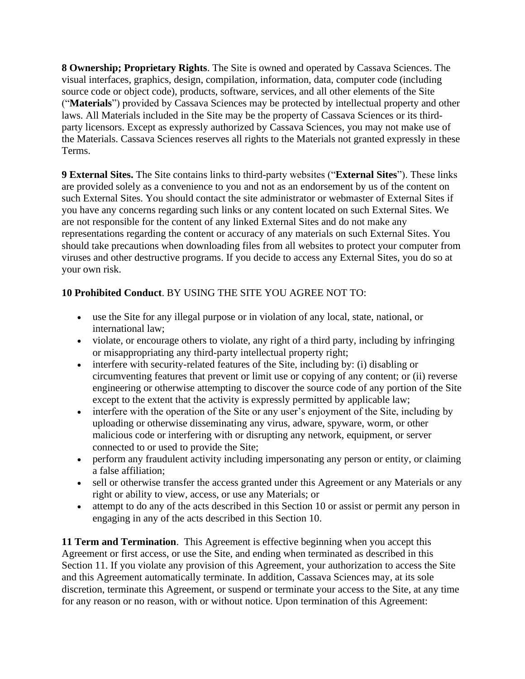**8 Ownership; Proprietary Rights**. The Site is owned and operated by Cassava Sciences. The visual interfaces, graphics, design, compilation, information, data, computer code (including source code or object code), products, software, services, and all other elements of the Site ("**Materials**") provided by Cassava Sciences may be protected by intellectual property and other laws. All Materials included in the Site may be the property of Cassava Sciences or its thirdparty licensors. Except as expressly authorized by Cassava Sciences, you may not make use of the Materials. Cassava Sciences reserves all rights to the Materials not granted expressly in these Terms.

**9 External Sites.** The Site contains links to third-party websites ("**External Sites**"). These links are provided solely as a convenience to you and not as an endorsement by us of the content on such External Sites. You should contact the site administrator or webmaster of External Sites if you have any concerns regarding such links or any content located on such External Sites. We are not responsible for the content of any linked External Sites and do not make any representations regarding the content or accuracy of any materials on such External Sites. You should take precautions when downloading files from all websites to protect your computer from viruses and other destructive programs. If you decide to access any External Sites, you do so at your own risk.

## **10 Prohibited Conduct**. BY USING THE SITE YOU AGREE NOT TO:

- use the Site for any illegal purpose or in violation of any local, state, national, or international law;
- violate, or encourage others to violate, any right of a third party, including by infringing or misappropriating any third-party intellectual property right;
- interfere with security-related features of the Site, including by: (i) disabling or circumventing features that prevent or limit use or copying of any content; or (ii) reverse engineering or otherwise attempting to discover the source code of any portion of the Site except to the extent that the activity is expressly permitted by applicable law;
- interfere with the operation of the Site or any user's enjoyment of the Site, including by uploading or otherwise disseminating any virus, adware, spyware, worm, or other malicious code or interfering with or disrupting any network, equipment, or server connected to or used to provide the Site;
- perform any fraudulent activity including impersonating any person or entity, or claiming a false affiliation;
- sell or otherwise transfer the access granted under this Agreement or any Materials or any right or ability to view, access, or use any Materials; or
- attempt to do any of the acts described in this Section 10 or assist or permit any person in engaging in any of the acts described in this Section 10.

**11 Term and Termination**. This Agreement is effective beginning when you accept this Agreement or first access, or use the Site, and ending when terminated as described in this Section 11. If you violate any provision of this Agreement, your authorization to access the Site and this Agreement automatically terminate. In addition, Cassava Sciences may, at its sole discretion, terminate this Agreement, or suspend or terminate your access to the Site, at any time for any reason or no reason, with or without notice. Upon termination of this Agreement: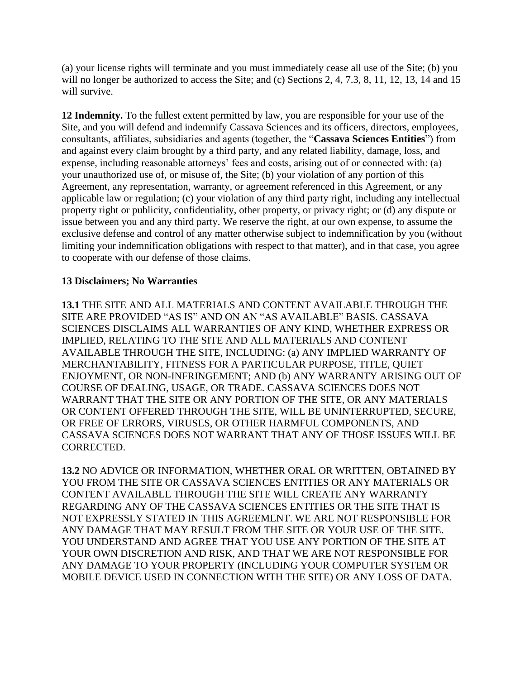(a) your license rights will terminate and you must immediately cease all use of the Site; (b) you will no longer be authorized to access the Site; and (c) Sections 2, 4, 7.3, 8, 11, 12, 13, 14 and 15 will survive.

**12 Indemnity.** To the fullest extent permitted by law, you are responsible for your use of the Site, and you will defend and indemnify Cassava Sciences and its officers, directors, employees, consultants, affiliates, subsidiaries and agents (together, the "**Cassava Sciences Entities**") from and against every claim brought by a third party, and any related liability, damage, loss, and expense, including reasonable attorneys' fees and costs, arising out of or connected with: (a) your unauthorized use of, or misuse of, the Site; (b) your violation of any portion of this Agreement, any representation, warranty, or agreement referenced in this Agreement, or any applicable law or regulation; (c) your violation of any third party right, including any intellectual property right or publicity, confidentiality, other property, or privacy right; or (d) any dispute or issue between you and any third party. We reserve the right, at our own expense, to assume the exclusive defense and control of any matter otherwise subject to indemnification by you (without limiting your indemnification obligations with respect to that matter), and in that case, you agree to cooperate with our defense of those claims.

## **13 Disclaimers; No Warranties**

**13.1** THE SITE AND ALL MATERIALS AND CONTENT AVAILABLE THROUGH THE SITE ARE PROVIDED "AS IS" AND ON AN "AS AVAILABLE" BASIS. CASSAVA SCIENCES DISCLAIMS ALL WARRANTIES OF ANY KIND, WHETHER EXPRESS OR IMPLIED, RELATING TO THE SITE AND ALL MATERIALS AND CONTENT AVAILABLE THROUGH THE SITE, INCLUDING: (a) ANY IMPLIED WARRANTY OF MERCHANTABILITY, FITNESS FOR A PARTICULAR PURPOSE, TITLE, QUIET ENJOYMENT, OR NON-INFRINGEMENT; AND (b) ANY WARRANTY ARISING OUT OF COURSE OF DEALING, USAGE, OR TRADE. CASSAVA SCIENCES DOES NOT WARRANT THAT THE SITE OR ANY PORTION OF THE SITE, OR ANY MATERIALS OR CONTENT OFFERED THROUGH THE SITE, WILL BE UNINTERRUPTED, SECURE, OR FREE OF ERRORS, VIRUSES, OR OTHER HARMFUL COMPONENTS, AND CASSAVA SCIENCES DOES NOT WARRANT THAT ANY OF THOSE ISSUES WILL BE CORRECTED.

**13.2** NO ADVICE OR INFORMATION, WHETHER ORAL OR WRITTEN, OBTAINED BY YOU FROM THE SITE OR CASSAVA SCIENCES ENTITIES OR ANY MATERIALS OR CONTENT AVAILABLE THROUGH THE SITE WILL CREATE ANY WARRANTY REGARDING ANY OF THE CASSAVA SCIENCES ENTITIES OR THE SITE THAT IS NOT EXPRESSLY STATED IN THIS AGREEMENT. WE ARE NOT RESPONSIBLE FOR ANY DAMAGE THAT MAY RESULT FROM THE SITE OR YOUR USE OF THE SITE. YOU UNDERSTAND AND AGREE THAT YOU USE ANY PORTION OF THE SITE AT YOUR OWN DISCRETION AND RISK, AND THAT WE ARE NOT RESPONSIBLE FOR ANY DAMAGE TO YOUR PROPERTY (INCLUDING YOUR COMPUTER SYSTEM OR MOBILE DEVICE USED IN CONNECTION WITH THE SITE) OR ANY LOSS OF DATA.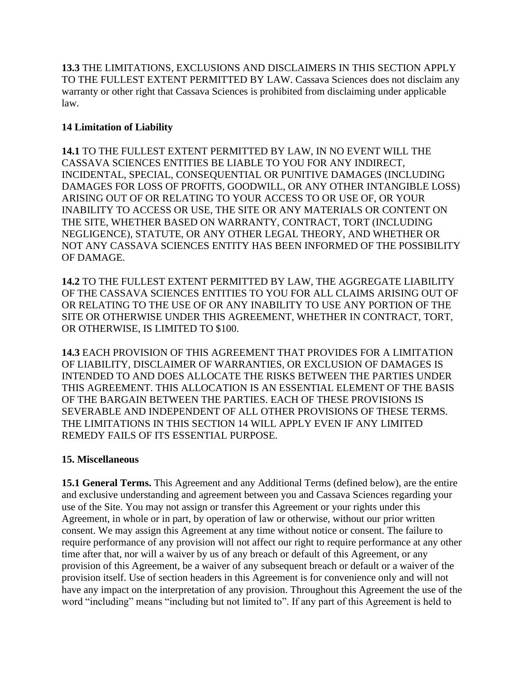**13.3** THE LIMITATIONS, EXCLUSIONS AND DISCLAIMERS IN THIS SECTION APPLY TO THE FULLEST EXTENT PERMITTED BY LAW. Cassava Sciences does not disclaim any warranty or other right that Cassava Sciences is prohibited from disclaiming under applicable law.

## **14 Limitation of Liability**

**14.1** TO THE FULLEST EXTENT PERMITTED BY LAW, IN NO EVENT WILL THE CASSAVA SCIENCES ENTITIES BE LIABLE TO YOU FOR ANY INDIRECT, INCIDENTAL, SPECIAL, CONSEQUENTIAL OR PUNITIVE DAMAGES (INCLUDING DAMAGES FOR LOSS OF PROFITS, GOODWILL, OR ANY OTHER INTANGIBLE LOSS) ARISING OUT OF OR RELATING TO YOUR ACCESS TO OR USE OF, OR YOUR INABILITY TO ACCESS OR USE, THE SITE OR ANY MATERIALS OR CONTENT ON THE SITE, WHETHER BASED ON WARRANTY, CONTRACT, TORT (INCLUDING NEGLIGENCE), STATUTE, OR ANY OTHER LEGAL THEORY, AND WHETHER OR NOT ANY CASSAVA SCIENCES ENTITY HAS BEEN INFORMED OF THE POSSIBILITY OF DAMAGE.

**14.2** TO THE FULLEST EXTENT PERMITTED BY LAW, THE AGGREGATE LIABILITY OF THE CASSAVA SCIENCES ENTITIES TO YOU FOR ALL CLAIMS ARISING OUT OF OR RELATING TO THE USE OF OR ANY INABILITY TO USE ANY PORTION OF THE SITE OR OTHERWISE UNDER THIS AGREEMENT, WHETHER IN CONTRACT, TORT, OR OTHERWISE, IS LIMITED TO \$100.

**14.3** EACH PROVISION OF THIS AGREEMENT THAT PROVIDES FOR A LIMITATION OF LIABILITY, DISCLAIMER OF WARRANTIES, OR EXCLUSION OF DAMAGES IS INTENDED TO AND DOES ALLOCATE THE RISKS BETWEEN THE PARTIES UNDER THIS AGREEMENT. THIS ALLOCATION IS AN ESSENTIAL ELEMENT OF THE BASIS OF THE BARGAIN BETWEEN THE PARTIES. EACH OF THESE PROVISIONS IS SEVERABLE AND INDEPENDENT OF ALL OTHER PROVISIONS OF THESE TERMS. THE LIMITATIONS IN THIS SECTION 14 WILL APPLY EVEN IF ANY LIMITED REMEDY FAILS OF ITS ESSENTIAL PURPOSE.

#### **15. Miscellaneous**

**15.1 General Terms.** This Agreement and any Additional Terms (defined below), are the entire and exclusive understanding and agreement between you and Cassava Sciences regarding your use of the Site. You may not assign or transfer this Agreement or your rights under this Agreement, in whole or in part, by operation of law or otherwise, without our prior written consent. We may assign this Agreement at any time without notice or consent. The failure to require performance of any provision will not affect our right to require performance at any other time after that, nor will a waiver by us of any breach or default of this Agreement, or any provision of this Agreement, be a waiver of any subsequent breach or default or a waiver of the provision itself. Use of section headers in this Agreement is for convenience only and will not have any impact on the interpretation of any provision. Throughout this Agreement the use of the word "including" means "including but not limited to". If any part of this Agreement is held to